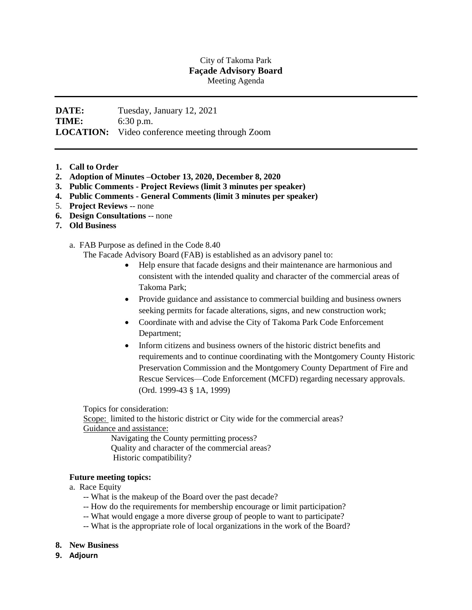## City of Takoma Park **Façade Advisory Board** Meeting Agenda

## **DATE:** Tuesday, January 12, 2021 **TIME:** 6:30 p.m. **LOCATION:** Video conference meeting through Zoom

- **1. Call to Order**
- **2. Adoption of Minutes –October 13, 2020, December 8, 2020**
- **3. Public Comments - Project Reviews (limit 3 minutes per speaker)**
- **4. Public Comments - General Comments (limit 3 minutes per speaker)**
- 5. **Project Reviews** -- none
- **6. Design Consultations** -- none
- **7. Old Business**
	- a. FAB Purpose as defined in the Code 8.40

The Facade Advisory Board (FAB) is established as an advisory panel to:

- Help ensure that facade designs and their maintenance are harmonious and consistent with the intended quality and character of the commercial areas of Takoma Park;
- Provide guidance and assistance to commercial building and business owners seeking permits for facade alterations, signs, and new construction work;
- Coordinate with and advise the City of Takoma Park Code Enforcement Department;
- Inform citizens and business owners of the historic district benefits and requirements and to continue coordinating with the Montgomery County Historic Preservation Commission and the Montgomery County Department of Fire and Rescue Services—Code Enforcement (MCFD) regarding necessary approvals. (Ord. 1999-43 § 1A, 1999)

Topics for consideration:

Scope: limited to the historic district or City wide for the commercial areas? Guidance and assistance:

Navigating the County permitting process? Quality and character of the commercial areas? Historic compatibility?

## **Future meeting topics:**

- a. Race Equity
	- -- What is the makeup of the Board over the past decade?
	- -- How do the requirements for membership encourage or limit participation?
	- -- What would engage a more diverse group of people to want to participate?
	- -- What is the appropriate role of local organizations in the work of the Board?
- **8. New Business**
- **9. Adjourn**